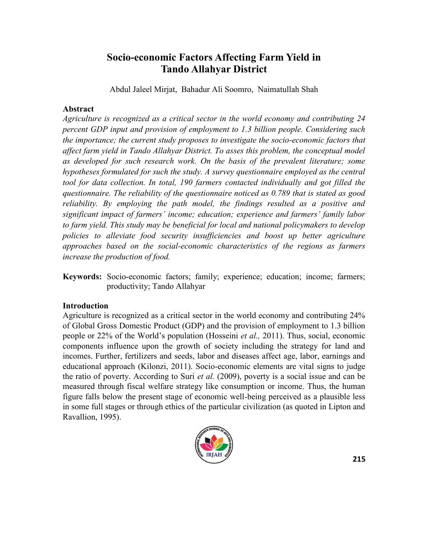# **Socio-economic Factors Affecting Farm Yield in Tando Allahyar District**

Abdul Jaleel Mirjat, Bahadur Ali Soomro, Naimatullah Shah

## **Abstract**

*Agriculture is recognized as a critical sector in the world economy and contributing 24 percent GDP input and provision of employment to 1.3 billion people. Considering such the importance; the current study proposes to investigate the socio-economic factors that affect farm yield in Tando Allahyar District. To asses this problem, the conceptual model as developed for such research work. On the basis of the prevalent literature; some hypotheses formulated for such the study. A survey questionnaire employed as the central tool for data collection. In total, 190 farmers contacted individually and got filled the questionnaire. The reliability of the questionnaire noticed as 0.789 that is stated as good reliability. By employing the path model, the findings resulted as a positive and significant impact of farmers' income; education; experience and farmers' family labor to farm yield. This study may be beneficial for local and national policymakers to develop policies to alleviate food security insufficiencies and boost up better agriculture approaches based on the social-economic characteristics of the regions as farmers increase the production of food.*

**Keywords:** Socio-economic factors; family; experience; education; income; farmers; productivity; Tando Allahyar

## **Introduction**

Agriculture is recognized as a critical sector in the world economy and contributing 24% of Global Gross Domestic Product (GDP) and the provision of employment to 1.3 billion people or 22% of the World's population (Hosseini *et al.,* 2011). Thus, social, economic components influence upon the growth of society including the strategy for land and incomes. Further, fertilizers and seeds, labor and diseases affect age, labor, earnings and educational approach (Kilonzi, 2011). Socio-economic elements are vital signs to judge the ratio of poverty. According to Suri *et al.* (2009), poverty is a social issue and can be measured through fiscal welfare strategy like consumption or income. Thus, the human figure falls below the present stage of economic well-being perceived as a plausible less in some full stages or through ethics of the particular civilization (as quoted in Lipton and Ravallion, 1995).

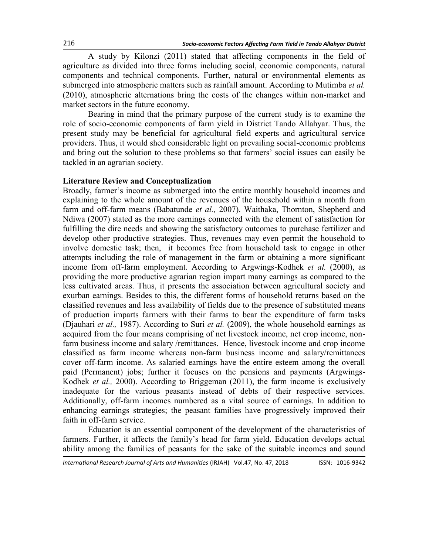A study by Kilonzi (2011) stated that affecting components in the field of agriculture as divided into three forms including social, economic components, natural components and technical components. Further, natural or environmental elements as submerged into atmospheric matters such as rainfall amount. According to Mutimba *et al.* (2010), atmospheric alternations bring the costs of the changes within non-market and market sectors in the future economy.

Bearing in mind that the primary purpose of the current study is to examine the role of socio-economic components of farm yield in District Tando Allahyar. Thus, the present study may be beneficial for agricultural field experts and agricultural service providers. Thus, it would shed considerable light on prevailing social-economic problems and bring out the solution to these problems so that farmers' social issues can easily be tackled in an agrarian society.

#### **Literature Review and Conceptualization**

Broadly, farmer's income as submerged into the entire monthly household incomes and explaining to the whole amount of the revenues of the household within a month from farm and off-farm means (Babatunde *et al.,* 2007). Waithaka, Thornton, Shepherd and Ndiwa (2007) stated as the more earnings connected with the element of satisfaction for fulfilling the dire needs and showing the satisfactory outcomes to purchase fertilizer and develop other productive strategies. Thus, revenues may even permit the household to involve domestic task; then, it becomes free from household task to engage in other attempts including the role of management in the farm or obtaining a more significant income from off-farm employment. According to Argwings-Kodhek *et al.* (2000), as providing the more productive agrarian region impart many earnings as compared to the less cultivated areas. Thus, it presents the association between agricultural society and exurban earnings. Besides to this, the different forms of household returns based on the classified revenues and less availability of fields due to the presence of substituted means of production imparts farmers with their farms to bear the expenditure of farm tasks (Djauhari *et al.,* 1987). According to Suri *et al.* (2009), the whole household earnings as acquired from the four means comprising of net livestock income, net crop income, nonfarm business income and salary /remittances. Hence, livestock income and crop income classified as farm income whereas non-farm business income and salary/remittances cover off-farm income. As salaried earnings have the entire esteem among the overall paid (Permanent) jobs; further it focuses on the pensions and payments (Argwings-Kodhek *et al.,* 2000). According to Briggeman (2011), the farm income is exclusively inadequate for the various peasants instead of debts of their respective services. Additionally, off-farm incomes numbered as a vital source of earnings. In addition to enhancing earnings strategies; the peasant families have progressively improved their faith in off-farm service.

Education is an essential component of the development of the characteristics of farmers. Further, it affects the family's head for farm yield. Education develops actual ability among the families of peasants for the sake of the suitable incomes and sound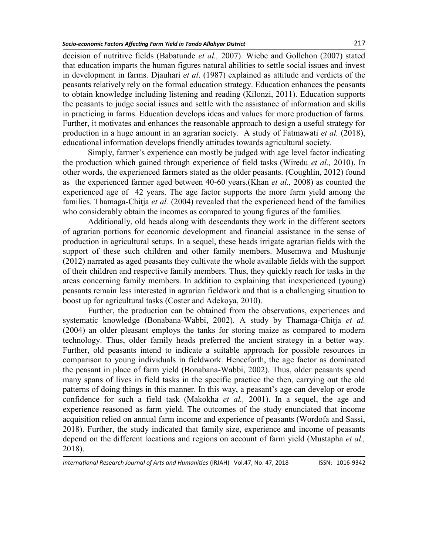decision of nutritive fields (Babatunde *et al.,* 2007). Wiebe and Gollehon (2007) stated that education imparts the human figures natural abilities to settle social issues and invest in development in farms. Djauhari *et al*. (1987) explained as attitude and verdicts of the peasants relatively rely on the formal education strategy. Education enhances the peasants to obtain knowledge including listening and reading (Kilonzi, 2011). Education supports the peasants to judge social issues and settle with the assistance of information and skills in practicing in farms. Education develops ideas and values for more production of farms. Further, it motivates and enhances the reasonable approach to design a useful strategy for production in a huge amount in an agrarian society. A study of Fatmawati *et al.* (2018), educational information develops friendly attitudes towards agricultural society.

Simply, farmer's experience can mostly be judged with age level factor indicating the production which gained through experience of field tasks (Wiredu *et al.,* 2010). In other words, the experienced farmers stated as the older peasants. (Coughlin, 2012) found as the experienced farmer aged between 40-60 years.(Khan *et al.,* 2008) as counted the experienced age of 42 years. The age factor supports the more farm yield among the families. Thamaga-Chitja *et al.* (2004) revealed that the experienced head of the families who considerably obtain the incomes as compared to young figures of the families.

Additionally, old heads along with descendants they work in the different sectors of agrarian portions for economic development and financial assistance in the sense of production in agricultural setups. In a sequel, these heads irrigate agrarian fields with the support of these such children and other family members. Musemwa and Mushunje (2012) narrated as aged peasants they cultivate the whole available fields with the support of their children and respective family members. Thus, they quickly reach for tasks in the areas concerning family members. In addition to explaining that inexperienced (young) peasants remain less interested in agrarian fieldwork and that is a challenging situation to boost up for agricultural tasks (Coster and Adekoya, 2010).

Further, the production can be obtained from the observations, experiences and systematic knowledge (Bonabana-Wabbi, 2002). A study by Thamaga-Chitja *et al.* (2004) an older pleasant employs the tanks for storing maize as compared to modern technology. Thus, older family heads preferred the ancient strategy in a better way. Further, old peasants intend to indicate a suitable approach for possible resources in comparison to young individuals in fieldwork. Henceforth, the age factor as dominated the peasant in place of farm yield (Bonabana-Wabbi, 2002). Thus, older peasants spend many spans of lives in field tasks in the specific practice the then, carrying out the old patterns of doing things in this manner. In this way, a peasant's age can develop or erode confidence for such a field task (Makokha *et al.,* 2001). In a sequel, the age and experience reasoned as farm yield. The outcomes of the study enunciated that income acquisition relied on annual farm income and experience of peasants (Wordofa and Sassi, 2018). Further, the study indicated that family size, experience and income of peasants depend on the different locations and regions on account of farm yield (Mustapha *et al.,* 2018).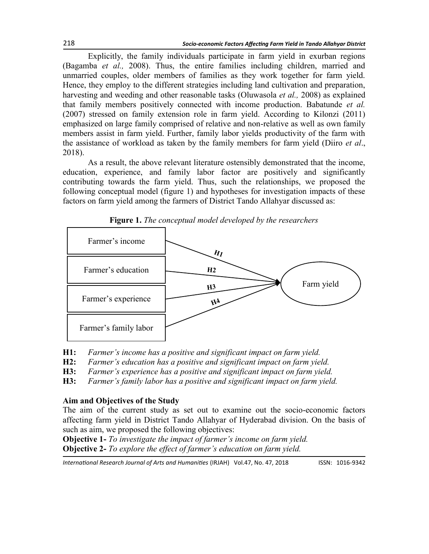Explicitly, the family individuals participate in farm yield in exurban regions (Bagamba *et al.,* 2008). Thus, the entire families including children, married and unmarried couples, older members of families as they work together for farm yield. Hence, they employ to the different strategies including land cultivation and preparation, harvesting and weeding and other reasonable tasks (Oluwasola *et al.,* 2008) as explained that family members positively connected with income production. Babatunde *et al.* (2007) stressed on family extension role in farm yield. According to Kilonzi (2011) emphasized on large family comprised of relative and non-relative as well as own family members assist in farm yield. Further, family labor yields productivity of the farm with the assistance of workload as taken by the family members for farm yield (Diiro *et al*., 2018).

As a result, the above relevant literature ostensibly demonstrated that the income, education, experience, and family labor factor are positively and significantly contributing towards the farm yield. Thus, such the relationships, we proposed the following conceptual model (figure 1) and hypotheses for investigation impacts of these factors on farm yield among the farmers of District Tando Allahyar discussed as:



**Figure 1.** *The conceptual model developed by the researchers*

- **H1:** *Farmer's income has a positive and significant impact on farm yield.*
- **H2:** *Farmer's education has a positive and significant impact on farm yield.*
- **H3:** *Farmer's experience has a positive and significant impact on farm yield.*
- **H3:** *Farmer's family labor has a positive and significant impact on farm yield.*

#### **Aim and Objectives of the Study**

The aim of the current study as set out to examine out the socio-economic factors affecting farm yield in District Tando Allahyar of Hyderabad division. On the basis of such as aim, we proposed the following objectives:

**Objective 1-** *To investigate the impact of farmer's income on farm yield.* **Objective 2-** *To explore the effect of farmer's education on farm yield.*

*International Research Journal of Arts and Humanities* (IRJAH) Vol.47, No. 47, 2018 **ISSN: 1016-9342**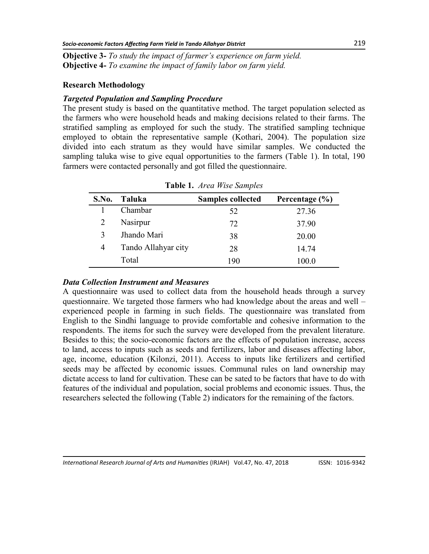**Objective 3-** *To study the impact of farmer's experience on farm yield.* **Objective 4-** *To examine the impact of family labor on farm yield.*

# **Research Methodology**

# *Targeted Population and Sampling Procedure*

The present study is based on the quantitative method. The target population selected as the farmers who were household heads and making decisions related to their farms. The stratified sampling as employed for such the study. The stratified sampling technique employed to obtain the representative sample (Kothari, 2004). The population size divided into each stratum as they would have similar samples. We conducted the sampling taluka wise to give equal opportunities to the farmers (Table 1). In total, 190 farmers were contacted personally and got filled the questionnaire.

| S.No. | Taluka              | <b>Samples collected</b> | Percentage (%) |  |  |  |
|-------|---------------------|--------------------------|----------------|--|--|--|
|       | Chambar             | 52                       | 27.36          |  |  |  |
| 2     | Nasirpur            | 72                       | 37.90          |  |  |  |
| 3     | Jhando Mari         | 38                       | 20.00          |  |  |  |
| 4     | Tando Allahyar city | 28                       | 14.74          |  |  |  |
|       | Total               | 190                      | 100.0          |  |  |  |

**Table 1.** *Area Wise Samples*

## *Data Collection Instrument and Measures*

A questionnaire was used to collect data from the household heads through a survey questionnaire. We targeted those farmers who had knowledge about the areas and well – experienced people in farming in such fields. The questionnaire was translated from English to the Sindhi language to provide comfortable and cohesive information to the respondents. The items for such the survey were developed from the prevalent literature. Besides to this; the socio-economic factors are the effects of population increase, access to land, access to inputs such as seeds and fertilizers, labor and diseases affecting labor, age, income, education (Kilonzi, 2011). Access to inputs like fertilizers and certified seeds may be affected by economic issues. Communal rules on land ownership may dictate access to land for cultivation. These can be sated to be factors that have to do with features of the individual and population, social problems and economic issues. Thus, the researchers selected the following (Table 2) indicators for the remaining of the factors.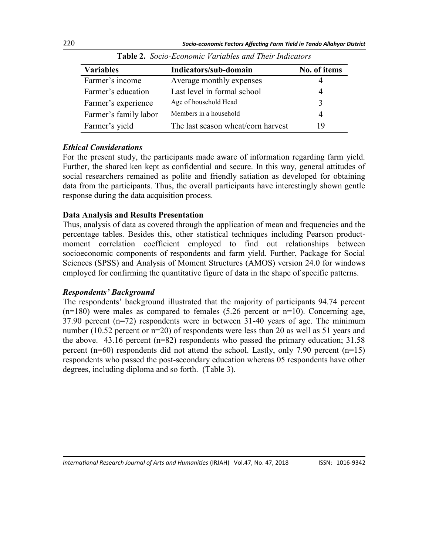| <b>Variables</b>      | Indicators/sub-domain              | No. of items   |  |
|-----------------------|------------------------------------|----------------|--|
| Farmer's income       | Average monthly expenses           |                |  |
| Farmer's education    | Last level in formal school        | 4              |  |
| Farmer's experience   | Age of household Head              | 3              |  |
| Farmer's family labor | Members in a household             | $\overline{4}$ |  |
| Farmer's yield        | The last season wheat/corn harvest | 19             |  |

**Table 2.** *Socio-Economic Variables and Their Indicators*

# *Ethical Considerations*

For the present study, the participants made aware of information regarding farm yield. Further, the shared ken kept as confidential and secure. In this way, general attitudes of social researchers remained as polite and friendly satiation as developed for obtaining data from the participants. Thus, the overall participants have interestingly shown gentle response during the data acquisition process.

# **Data Analysis and Results Presentation**

Thus, analysis of data as covered through the application of mean and frequencies and the percentage tables. Besides this, other statistical techniques including Pearson productmoment correlation coefficient employed to find out relationships between socioeconomic components of respondents and farm yield. Further, Package for Social Sciences (SPSS) and Analysis of Moment Structures (AMOS) version 24.0 for windows employed for confirming the quantitative figure of data in the shape of specific patterns.

## *Respondents' Background*

The respondents' background illustrated that the majority of participants 94.74 percent  $(n=180)$  were males as compared to females  $(5.26$  percent or  $n=10$ ). Concerning age, 37.90 percent (n=72) respondents were in between 31-40 years of age. The minimum number (10.52 percent or n=20) of respondents were less than 20 as well as 51 years and the above. 43.16 percent (n=82) respondents who passed the primary education; 31.58 percent (n=60) respondents did not attend the school. Lastly, only 7.90 percent (n=15) respondents who passed the post-secondary education whereas 05 respondents have other degrees, including diploma and so forth. (Table 3).

*International Research Journal of Arts and Humanities* (IRJAH) Vol.47, No. 47, 2018 **ISSN: 1016-9342**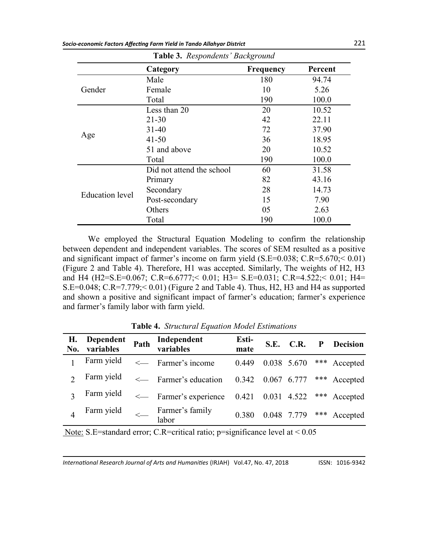| Table 3. Respondents' Background |                           |                  |         |  |
|----------------------------------|---------------------------|------------------|---------|--|
|                                  | Category                  | <b>Frequency</b> | Percent |  |
|                                  | Male                      | 180              | 94.74   |  |
| Gender                           | Female                    | 10               | 5.26    |  |
|                                  | Total                     | 190              | 100.0   |  |
|                                  | Less than 20              | 20               | 10.52   |  |
|                                  | $21 - 30$                 | 42               | 22.11   |  |
|                                  | $31 - 40$                 | 72               | 37.90   |  |
| Age                              | $41 - 50$                 | 36               | 18.95   |  |
|                                  | 51 and above              | 20               | 10.52   |  |
|                                  | Total                     | 190              | 100.0   |  |
|                                  | Did not attend the school | 60               | 31.58   |  |
|                                  | Primary                   | 82               | 43.16   |  |
|                                  | Secondary                 | 28               | 14.73   |  |
| <b>Education</b> level           | Post-secondary            | 15               | 7.90    |  |
|                                  | Others                    | 05               | 2.63    |  |
|                                  | Total                     | 190              | 100.0   |  |

We employed the Structural Equation Modeling to confirm the relationship between dependent and independent variables. The scores of SEM resulted as a positive and significant impact of farmer's income on farm yield  $(S.E=0.038; C.R=5.670; < 0.01)$ (Figure 2 and Table 4). Therefore, H1 was accepted. Similarly, The weights of H2, H3 and H4 (H2=S.E=0.067; C.R=6.6777;< 0.01; H3= S.E=0.031; C.R=4.522;< 0.01; H4= S.E=0.048; C.R=7.779;< 0.01) (Figure 2 and Table 4). Thus, H2, H3 and H4 as supported and shown a positive and significant impact of farmer's education; farmer's experience and farmer's family labor with farm yield.

**Table 4.** *Structural Equation Model Estimations*

|  | H. Dependent Path Independent<br>No. variables Path variables   | Esti-<br>mate |  | S.E. C.R. P Decision           |
|--|-----------------------------------------------------------------|---------------|--|--------------------------------|
|  | Farm yield < Farmer's income                                    |               |  | 0.449 0.038 5.670 *** Accepted |
|  | Farm yield < Farmer's education 0.342 0.067 6.777 *** Accepted  |               |  |                                |
|  | Farm yield < Farmer's experience 0.421 0.031 4.522 *** Accepted |               |  |                                |
|  | Farm yield<br>$\leftarrow$ Farmer's family<br>labor             |               |  | 0.380 0.048 7.779 *** Accepted |

Note: S.E=standard error; C.R=critical ratio; p=significance level at < 0.05

*International Research Journal of Arts and Humanities* (IRJAH) Vol.47, No. 47, 2018 **ISSN: 1016-9342**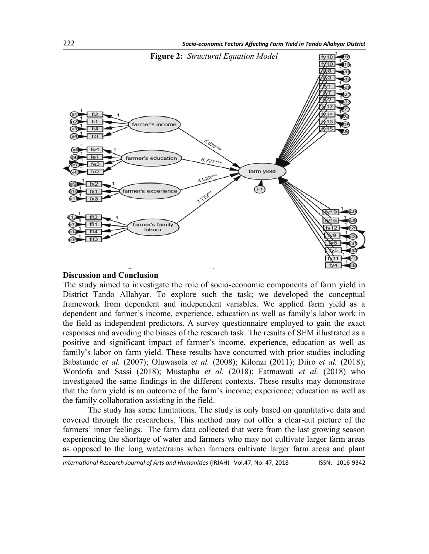

#### **Discussion and Conclusion**

The study aimed to investigate the role of socio-economic components of farm yield in District Tando Allahyar. To explore such the task; we developed the conceptual framework from dependent and independent variables. We applied farm yield as a dependent and farmer's income, experience, education as well as family's labor work in the field as independent predictors. A survey questionnaire employed to gain the exact responses and avoiding the biases of the research task. The results of SEM illustrated as a positive and significant impact of farmer's income, experience, education as well as family's labor on farm yield. These results have concurred with prior studies including Babatunde *et al.* (2007); Oluwasola *et al.* (2008); Kilonzi (2011); Diiro *et al.* (2018); Wordofa and Sassi (2018); Mustapha *et al.* (2018); Fatmawati *et al.* (2018) who investigated the same findings in the different contexts. These results may demonstrate that the farm yield is an outcome of the farm's income; experience; education as well as the family collaboration assisting in the field.

The study has some limitations. The study is only based on quantitative data and covered through the researchers. This method may not offer a clear-cut picture of the farmers' inner feelings. The farm data collected that were from the last growing season experiencing the shortage of water and farmers who may not cultivate larger farm areas as opposed to the long water/rains when farmers cultivate larger farm areas and plant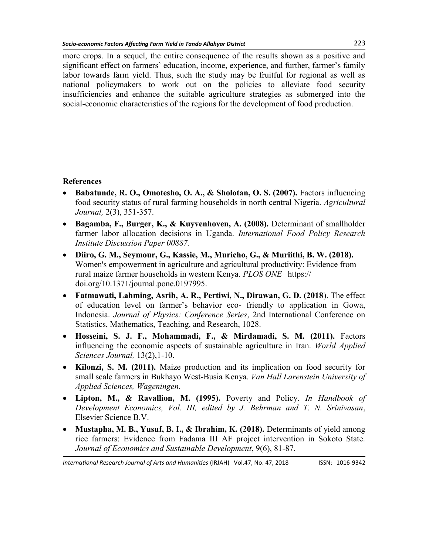more crops. In a sequel, the entire consequence of the results shown as a positive and significant effect on farmers' education, income, experience, and further, farmer's family labor towards farm yield. Thus, such the study may be fruitful for regional as well as national policymakers to work out on the policies to alleviate food security insufficiencies and enhance the suitable agriculture strategies as submerged into the social-economic characteristics of the regions for the development of food production.

# **References**

- **Babatunde, R. O., Omotesho, O. A., & Sholotan, O. S. (2007).** Factors influencing food security status of rural farming households in north central Nigeria. *Agricultural Journal,* 2(3), 351-357.
- **Bagamba, F., Burger, K., & Kuyvenhoven, A. (2008).** Determinant of smallholder farmer labor allocation decisions in Uganda. *International Food Policy Research Institute Discussion Paper 00887.*
- **Diiro, G. M., Seymour, G., Kassie, M., Muricho, G., & Muriithi, B. W. (2018).** Women's empowerment in agriculture and agricultural productivity: Evidence from rural maize farmer households in western Kenya. *PLOS ONE* | [https://](https://doi.org/10.1371/journal.pone.0197995) [doi.org/10.1371/journal.pone.0197995.](https://doi.org/10.1371/journal.pone.0197995)
- **Fatmawati, Lahming, Asrib, A. R., Pertiwi, N., Dirawan, G. D. (2018**). The effect of education level on farmer's behavior eco- friendly to application in Gowa, Indonesia. *Journal of Physics: Conference Series*, 2nd International Conference on Statistics, Mathematics, Teaching, and Research, 1028.
- **Hosseini, S. J. F., Mohammadi, F., & Mirdamadi, S. M. (2011).** Factors influencing the economic aspects of sustainable agriculture in Iran. *World Applied Sciences Journal,* 13(2),1-10.
- **Kilonzi, S. M. (2011).** Maize production and its implication on food security for small scale farmers in Bukhayo West-Busia Kenya. *Van Hall Larenstein University of Applied Sciences, Wageningen.*
- **Lipton, M., & Ravallion, M. (1995).** Poverty and Policy. *In Handbook of Development Economics, Vol. III, edited by J. Behrman and T. N. Srinivasan*, Elsevier Science B.V.
- **Mustapha, M. B., Yusuf, B. I., & Ibrahim, K. (2018).** Determinants of yield among rice farmers: Evidence from Fadama III AF project intervention in Sokoto State. *Journal of Economics and Sustainable Development*, 9(6), 81-87.